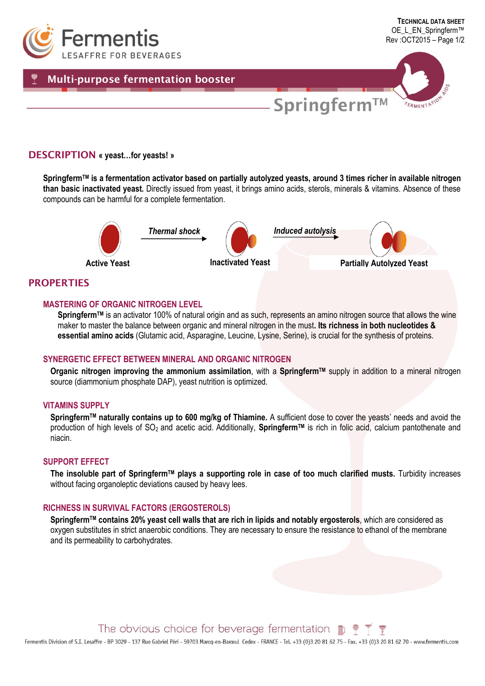

## **DESCRIPTION « yeast…for yeasts! »**

**SpringfermTM is a fermentation activator based on partially autolyzed yeasts, around 3 times richer in available nitrogen than basic inactivated yeast.** Directly issued from yeast, it brings amino acids, sterols, minerals & vitamins. Absence of these compounds can be harmful for a complete fermentation.



## **PROPERTIES**

#### **MASTERING OF ORGANIC NITROGEN LEVEL**

**SpringfermTM** is an activator 100% of natural origin and as such, represents an amino nitrogen source that allows the wine maker to master the balance between organic and mineral nitrogen in the must**. Its richness in both nucleotides & essential amino acids** (Glutamic acid, Asparagine, Leucine, Lysine, Serine), is crucial for the synthesis of proteins.

### **SYNERGETIC EFFECT BETWEEN MINERAL AND ORGANIC NITROGEN**

**Organic nitrogen improving the ammonium assimilation**, with a **SpringfermTM** supply in addition to a mineral nitrogen source (diammonium phosphate DAP), yeast nutrition is optimized.

## **VITAMINS SUPPLY**

**SpringfermTM naturally contains up to 600 mg/kg of Thiamine.** A sufficient dose to cover the yeasts' needs and avoid the production of high levels of SO2 and acetic acid. Additionally, **SpringfermTM** is rich in folic acid, calcium pantothenate and niacin.

## **SUPPORT EFFECT**

**The insoluble part of SpringfermTM plays a supporting role in case of too much clarified musts.** Turbidity increases without facing organoleptic deviations caused by heavy lees.

### **RICHNESS IN SURVIVAL FACTORS (ERGOSTEROLS)**

**SpringfermTM contains 20% yeast cell walls that are rich in lipids and notably ergosterols**, which are considered as oxygen substitutes in strict anaerobic conditions. They are necessary to ensure the resistance to ethanol of the membrane and its permeability to carbohydrates.

The obvious choice for beverage fermentation  $\blacksquare$ 

Fermentis Division of S.I. Lesaffre - BP 3029 - 137 Rue Gabriel Péri - 59703 Marcq-en-Barceul Cedex - FRANCE - Tel. +33 (0)3 20 81 62 75 - Fax. +33 (0)3 20 81 62 70 - www.fermentis.com